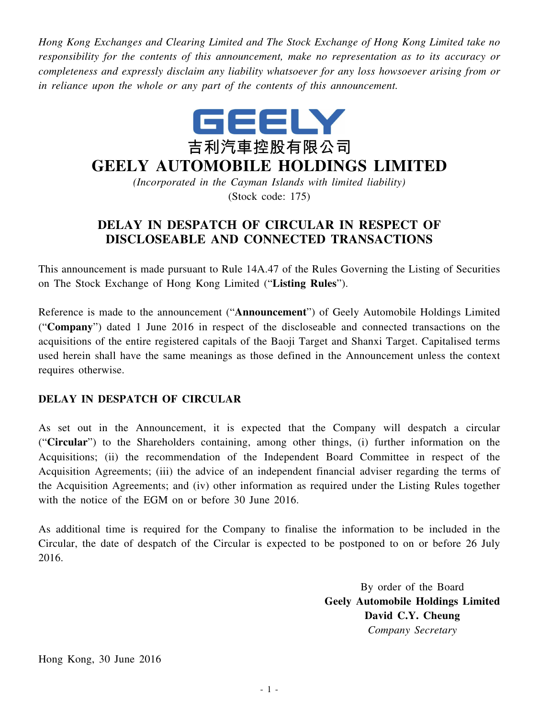*Hong Kong Exchanges and Clearing Limited and The Stock Exchange of Hong Kong Limited take no responsibility for the contents of this announcement, make no representation as to its accuracy or completeness and expressly disclaim any liability whatsoever for any loss howsoever arising from or in reliance upon the whole or any part of the contents of this announcement.*



## **GEELY AUTOMOBILE HOLDINGS LIMITED**

*(Incorporated in the Cayman Islands with limited liability)* (Stock code: 175)

## **DELAY IN DESPATCH OF CIRCULAR IN RESPECT OF DISCLOSEABLE AND CONNECTED TRANSACTIONS**

This announcement is made pursuant to Rule 14A.47 of the Rules Governing the Listing of Securities on The Stock Exchange of Hong Kong Limited ("**Listing Rules**").

Reference is made to the announcement ("**Announcement**") of Geely Automobile Holdings Limited ("**Company**") dated 1 June 2016 in respect of the discloseable and connected transactions on the acquisitions of the entire registered capitals of the Baoji Target and Shanxi Target. Capitalised terms used herein shall have the same meanings as those defined in the Announcement unless the context requires otherwise.

## **DELAY IN DESPATCH OF CIRCULAR**

As set out in the Announcement, it is expected that the Company will despatch a circular ("**Circular**") to the Shareholders containing, among other things, (i) further information on the Acquisitions; (ii) the recommendation of the Independent Board Committee in respect of the Acquisition Agreements; (iii) the advice of an independent financial adviser regarding the terms of the Acquisition Agreements; and (iv) other information as required under the Listing Rules together with the notice of the EGM on or before 30 June 2016.

As additional time is required for the Company to finalise the information to be included in the Circular, the date of despatch of the Circular is expected to be postponed to on or before 26 July 2016.

> By order of the Board **Geely Automobile Holdings Limited David C.Y. Cheung** *Company Secretary*

Hong Kong, 30 June 2016